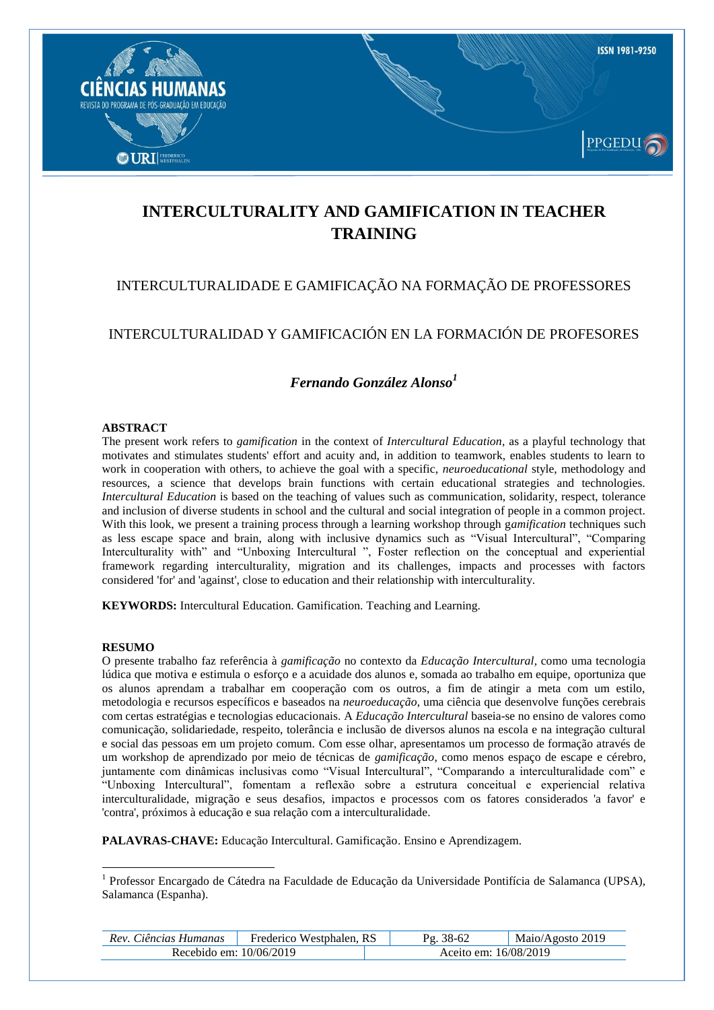

# **INTERCULTURALITY AND GAMIFICATION IN TEACHER TRAINING**

# INTERCULTURALIDADE E GAMIFICAÇÃO NA FORMAÇÃO DE PROFESSORES

## INTERCULTURALIDAD Y GAMIFICACIÓN EN LA FORMACIÓN DE PROFESORES

# *Fernando González Alonso<sup>1</sup>*

#### **ABSTRACT**

The present work refers to *gamification* in the context of *Intercultural Education*, as a playful technology that motivates and stimulates students' effort and acuity and, in addition to teamwork, enables students to learn to work in cooperation with others, to achieve the goal with a specific, *neuroeducational* style, methodology and resources, a science that develops brain functions with certain educational strategies and technologies. *Intercultural Education* is based on the teaching of values such as communication, solidarity, respect, tolerance and inclusion of diverse students in school and the cultural and social integration of people in a common project. With this look, we present a training process through a learning workshop through g*amification* techniques such as less escape space and brain, along with inclusive dynamics such as "Visual Intercultural", "Comparing Interculturality with" and "Unboxing Intercultural ", Foster reflection on the conceptual and experiential framework regarding interculturality, migration and its challenges, impacts and processes with factors considered 'for' and 'against', close to education and their relationship with interculturality.

**KEYWORDS:** Intercultural Education. Gamification. Teaching and Learning.

#### **RESUMO**

1

O presente trabalho faz referência à *gamificação* no contexto da *Educação Intercultural,* como uma tecnologia lúdica que motiva e estimula o esforço e a acuidade dos alunos e, somada ao trabalho em equipe, oportuniza que os alunos aprendam a trabalhar em cooperação com os outros, a fim de atingir a meta com um estilo, metodologia e recursos específicos e baseados na *neuroeducação*, uma ciência que desenvolve funções cerebrais com certas estratégias e tecnologias educacionais. A *Educação Intercultural* baseia-se no ensino de valores como comunicação, solidariedade, respeito, tolerância e inclusão de diversos alunos na escola e na integração cultural e social das pessoas em um projeto comum. Com esse olhar, apresentamos um processo de formação através de um workshop de aprendizado por meio de técnicas de *gamificação*, como menos espaço de escape e cérebro, juntamente com dinâmicas inclusivas como "Visual Intercultural", "Comparando a interculturalidade com" e "Unboxing Intercultural", fomentam a reflexão sobre a estrutura conceitual e experiencial relativa interculturalidade, migração e seus desafios, impactos e processos com os fatores considerados 'a favor' e 'contra', próximos à educação e sua relação com a interculturalidade.

**PALAVRAS-CHAVE:** Educação Intercultural. Gamificação. Ensino e Aprendizagem.

<sup>&</sup>lt;sup>1</sup> Professor Encargado de Cátedra na Faculdade de Educação da Universidade Pontifícia de Salamanca (UPSA), Salamanca (Espanha).

| Rev. Ciências Humanas   | Frederico Westphalen, RS |                       | Maio/Agosto 2019 |
|-------------------------|--------------------------|-----------------------|------------------|
| Recebido em: 10/06/2019 |                          | Aceito em: 16/08/2019 |                  |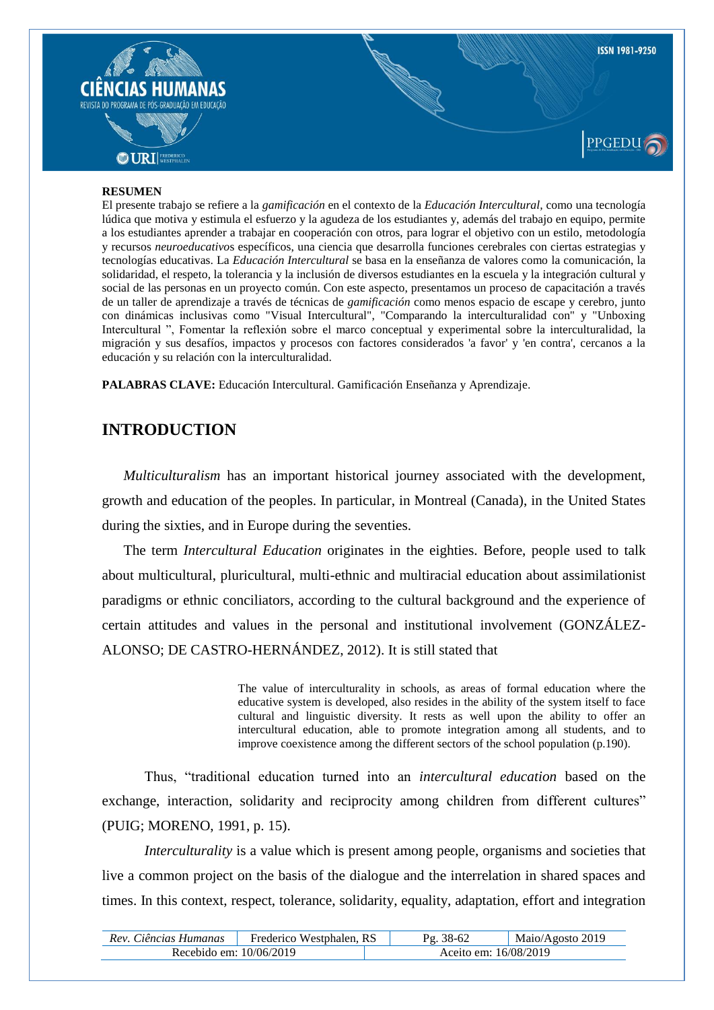

#### **RESUMEN**

El presente trabajo se refiere a la *gamificación* en el contexto de la *Educación Intercultural,* como una tecnología lúdica que motiva y estimula el esfuerzo y la agudeza de los estudiantes y, además del trabajo en equipo, permite a los estudiantes aprender a trabajar en cooperación con otros, para lograr el objetivo con un estilo, metodología y recursos *neuroeducativo*s específicos, una ciencia que desarrolla funciones cerebrales con ciertas estrategias y tecnologías educativas. La *Educación Intercultural* se basa en la enseñanza de valores como la comunicación, la solidaridad, el respeto, la tolerancia y la inclusión de diversos estudiantes en la escuela y la integración cultural y social de las personas en un proyecto común. Con este aspecto, presentamos un proceso de capacitación a través de un taller de aprendizaje a través de técnicas de *gamificación* como menos espacio de escape y cerebro, junto con dinámicas inclusivas como "Visual Intercultural", "Comparando la interculturalidad con" y "Unboxing Intercultural ", Fomentar la reflexión sobre el marco conceptual y experimental sobre la interculturalidad, la migración y sus desafíos, impactos y procesos con factores considerados 'a favor' y 'en contra', cercanos a la educación y su relación con la interculturalidad.

**PALABRAS CLAVE:** Educación Intercultural. Gamificación Enseñanza y Aprendizaje.

# **INTRODUCTION**

*Multiculturalism* has an important historical journey associated with the development, growth and education of the peoples. In particular, in Montreal (Canada), in the United States during the sixties, and in Europe during the seventies.

The term *Intercultural Education* originates in the eighties. Before, people used to talk about multicultural, pluricultural, multi-ethnic and multiracial education about assimilationist paradigms or ethnic conciliators, according to the cultural background and the experience of certain attitudes and values in the personal and institutional involvement (GONZÁLEZ-ALONSO; DE CASTRO-HERNÁNDEZ, 2012). It is still stated that

> The value of interculturality in schools, as areas of formal education where the educative system is developed, also resides in the ability of the system itself to face cultural and linguistic diversity. It rests as well upon the ability to offer an intercultural education, able to promote integration among all students, and to improve coexistence among the different sectors of the school population (p.190).

Thus, "traditional education turned into an *intercultural education* based on the exchange, interaction, solidarity and reciprocity among children from different cultures" (PUIG; MORENO, 1991, p. 15).

*Interculturality* is a value which is present among people, organisms and societies that live a common project on the basis of the dialogue and the interrelation in shared spaces and times. In this context, respect, tolerance, solidarity, equality, adaptation, effort and integration

| Rev. Ciências Humanas   | . RS<br>Frederico Westphalen. P |                       | Maio/Agosto 2019 |
|-------------------------|---------------------------------|-----------------------|------------------|
| Recebido em: 10/06/2019 |                                 | Aceito em: 16/08/2019 |                  |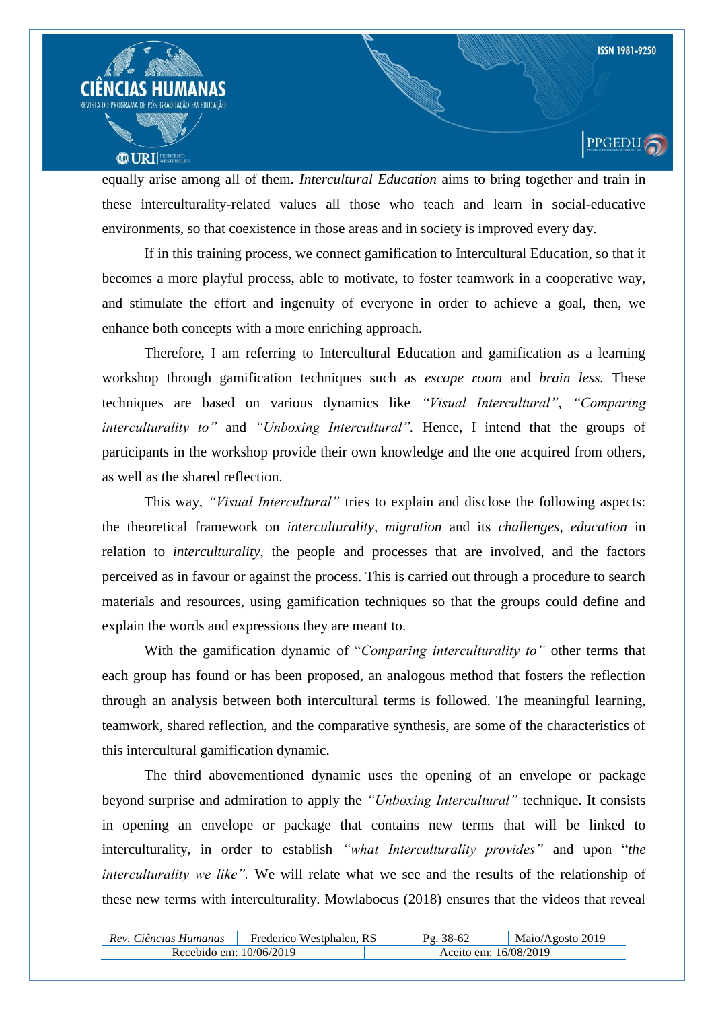

equally arise among all of them. *Intercultural Education* aims to bring together and train in these interculturality-related values all those who teach and learn in social-educative environments, so that coexistence in those areas and in society is improved every day.

If in this training process, we connect gamification to Intercultural Education, so that it becomes a more playful process, able to motivate, to foster teamwork in a cooperative way, and stimulate the effort and ingenuity of everyone in order to achieve a goal, then, we enhance both concepts with a more enriching approach.

Therefore, I am referring to Intercultural Education and gamification as a learning workshop through gamification techniques such as *escape room* and *brain less.* These techniques are based on various dynamics like *"Visual Intercultural"*, *"Comparing interculturality to*" and "*Unboxing Intercultural*". Hence, I intend that the groups of participants in the workshop provide their own knowledge and the one acquired from others, as well as the shared reflection.

This way, *"Visual Intercultural"* tries to explain and disclose the following aspects: the theoretical framework on *interculturality, migration* and its *challenges, education* in relation to *interculturality,* the people and processes that are involved, and the factors perceived as in favour or against the process. This is carried out through a procedure to search materials and resources, using gamification techniques so that the groups could define and explain the words and expressions they are meant to.

With the gamification dynamic of "*Comparing interculturality to"* other terms that each group has found or has been proposed, an analogous method that fosters the reflection through an analysis between both intercultural terms is followed. The meaningful learning, teamwork, shared reflection, and the comparative synthesis, are some of the characteristics of this intercultural gamification dynamic.

The third abovementioned dynamic uses the opening of an envelope or package beyond surprise and admiration to apply the *"Unboxing Intercultural"* technique. It consists in opening an envelope or package that contains new terms that will be linked to interculturality, in order to establish *"what Interculturality provides"* and upon "*the interculturality we like"*. We will relate what we see and the results of the relationship of these new terms with interculturality. Mowlabocus (2018) ensures that the videos that reveal

| Rev. Ciências Humanas   | Frederico Westphalen, RS | 38-62                 | Maio/Agosto 2019 |
|-------------------------|--------------------------|-----------------------|------------------|
| Recebido em: 10/06/2019 |                          | Aceito em: 16/08/2019 |                  |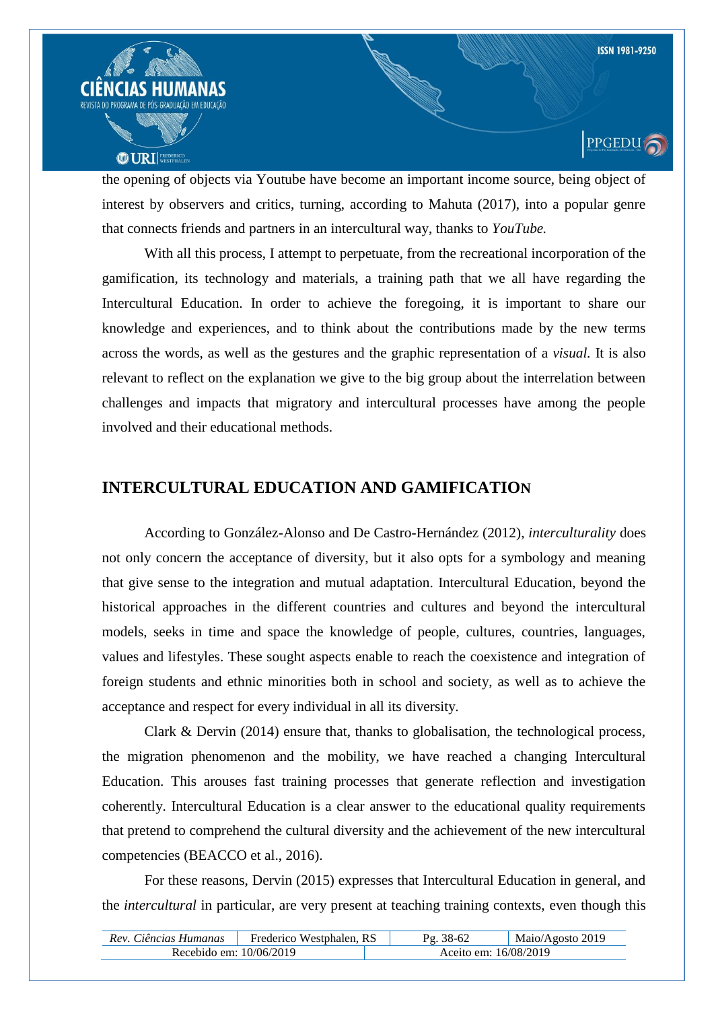

the opening of objects via Youtube have become an important income source, being object of interest by observers and critics, turning, according to Mahuta (2017), into a popular genre that connects friends and partners in an intercultural way, thanks to *YouTube.*

With all this process, I attempt to perpetuate, from the recreational incorporation of the gamification, its technology and materials, a training path that we all have regarding the Intercultural Education. In order to achieve the foregoing, it is important to share our knowledge and experiences, and to think about the contributions made by the new terms across the words, as well as the gestures and the graphic representation of a *visual.* It is also relevant to reflect on the explanation we give to the big group about the interrelation between challenges and impacts that migratory and intercultural processes have among the people involved and their educational methods.

# **INTERCULTURAL EDUCATION AND GAMIFICATION**

According to González-Alonso and De Castro-Hernández (2012), *interculturality* does not only concern the acceptance of diversity, but it also opts for a symbology and meaning that give sense to the integration and mutual adaptation. Intercultural Education, beyond the historical approaches in the different countries and cultures and beyond the intercultural models, seeks in time and space the knowledge of people, cultures, countries, languages, values and lifestyles. These sought aspects enable to reach the coexistence and integration of foreign students and ethnic minorities both in school and society, as well as to achieve the acceptance and respect for every individual in all its diversity.

Clark & Dervin (2014) ensure that, thanks to globalisation, the technological process, the migration phenomenon and the mobility, we have reached a changing Intercultural Education. This arouses fast training processes that generate reflection and investigation coherently. Intercultural Education is a clear answer to the educational quality requirements that pretend to comprehend the cultural diversity and the achievement of the new intercultural competencies (BEACCO et al., 2016).

For these reasons, Dervin (2015) expresses that Intercultural Education in general, and the *intercultural* in particular, are very present at teaching training contexts, even though this

| Rev. Ciências Humanas     | Frederico Westphalen, RS |                       | Maio/Agosto 2019 |
|---------------------------|--------------------------|-----------------------|------------------|
| Recebido em: $10/06/2019$ |                          | Aceito em: 16/08/2019 |                  |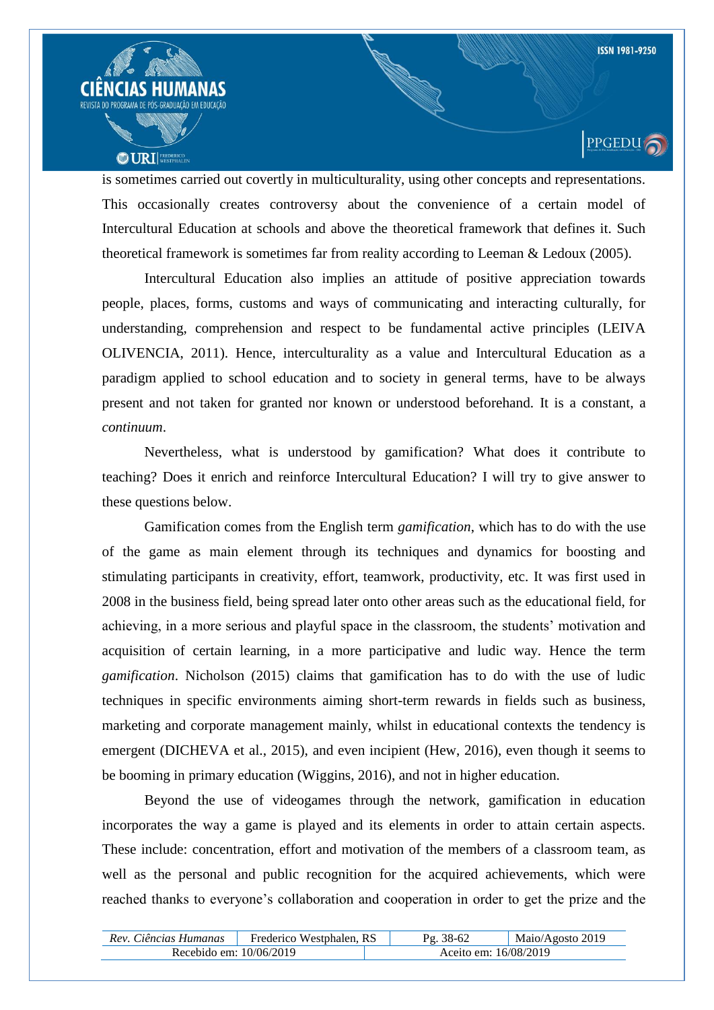

is sometimes carried out covertly in multiculturality, using other concepts and representations. This occasionally creates controversy about the convenience of a certain model of Intercultural Education at schools and above the theoretical framework that defines it. Such theoretical framework is sometimes far from reality according to Leeman & Ledoux (2005).

Intercultural Education also implies an attitude of positive appreciation towards people, places, forms, customs and ways of communicating and interacting culturally, for understanding, comprehension and respect to be fundamental active principles (LEIVA OLIVENCIA, 2011). Hence, interculturality as a value and Intercultural Education as a paradigm applied to school education and to society in general terms, have to be always present and not taken for granted nor known or understood beforehand. It is a constant, a *continuum*.

Nevertheless, what is understood by gamification? What does it contribute to teaching? Does it enrich and reinforce Intercultural Education? I will try to give answer to these questions below.

Gamification comes from the English term *gamification*, which has to do with the use of the game as main element through its techniques and dynamics for boosting and stimulating participants in creativity, effort, teamwork, productivity, etc. It was first used in 2008 in the business field, being spread later onto other areas such as the educational field, for achieving, in a more serious and playful space in the classroom, the students" motivation and acquisition of certain learning, in a more participative and ludic way. Hence the term *gamification*. Nicholson (2015) claims that gamification has to do with the use of ludic techniques in specific environments aiming short-term rewards in fields such as business, marketing and corporate management mainly, whilst in educational contexts the tendency is emergent (DICHEVA et al., 2015), and even incipient (Hew, 2016), even though it seems to be booming in primary education (Wiggins, 2016), and not in higher education.

Beyond the use of videogames through the network, gamification in education incorporates the way a game is played and its elements in order to attain certain aspects. These include: concentration, effort and motivation of the members of a classroom team, as well as the personal and public recognition for the acquired achievements, which were reached thanks to everyone"s collaboration and cooperation in order to get the prize and the

| Rev. Ciências Humanas     | Frederico Westphalen, RS |                       | Maio/Agosto 2019 |
|---------------------------|--------------------------|-----------------------|------------------|
| Recebido em: $10/06/2019$ |                          | Aceito em: 16/08/2019 |                  |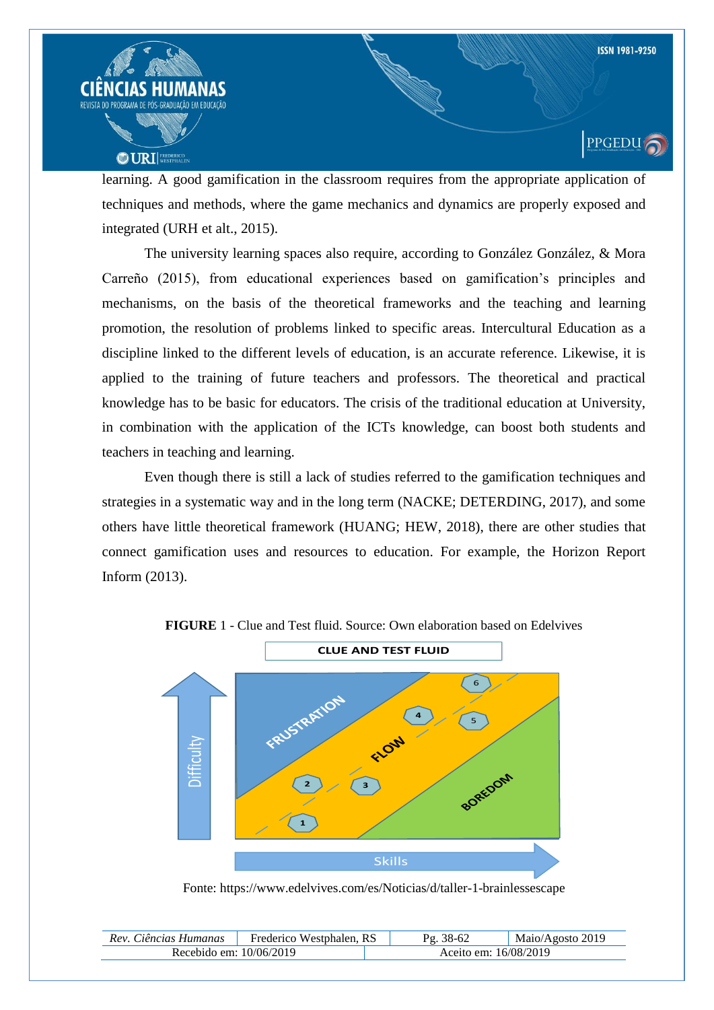

learning. A good gamification in the classroom requires from the appropriate application of techniques and methods, where the game mechanics and dynamics are properly exposed and integrated (URH et alt., 2015).

The university learning spaces also require, according to González González, & Mora Carreño (2015), from educational experiences based on gamification"s principles and mechanisms, on the basis of the theoretical frameworks and the teaching and learning promotion, the resolution of problems linked to specific areas. Intercultural Education as a discipline linked to the different levels of education, is an accurate reference. Likewise, it is applied to the training of future teachers and professors. The theoretical and practical knowledge has to be basic for educators. The crisis of the traditional education at University, in combination with the application of the ICTs knowledge, can boost both students and teachers in teaching and learning.

Even though there is still a lack of studies referred to the gamification techniques and strategies in a systematic way and in the long term (NACKE; DETERDING, 2017), and some others have little theoretical framework (HUANG; HEW, 2018), there are other studies that connect gamification uses and resources to education. For example, the Horizon Report Inform (2013).



**FIGURE** 1 - Clue and Test fluid. Source: Own elaboration based on Edelvives

Fonte: https://www.edelvives.com/es/Noticias/d/taller-1-brainlessescape

| Rev. Ciências Humanas     | Frederico Westphalen, RS | 38-62<br>$\mathbf{p}_{\sigma}$ | Maio/Agosto 2019 |
|---------------------------|--------------------------|--------------------------------|------------------|
| Recebido em: $10/06/2019$ |                          | Aceito em: 16/08/2019          |                  |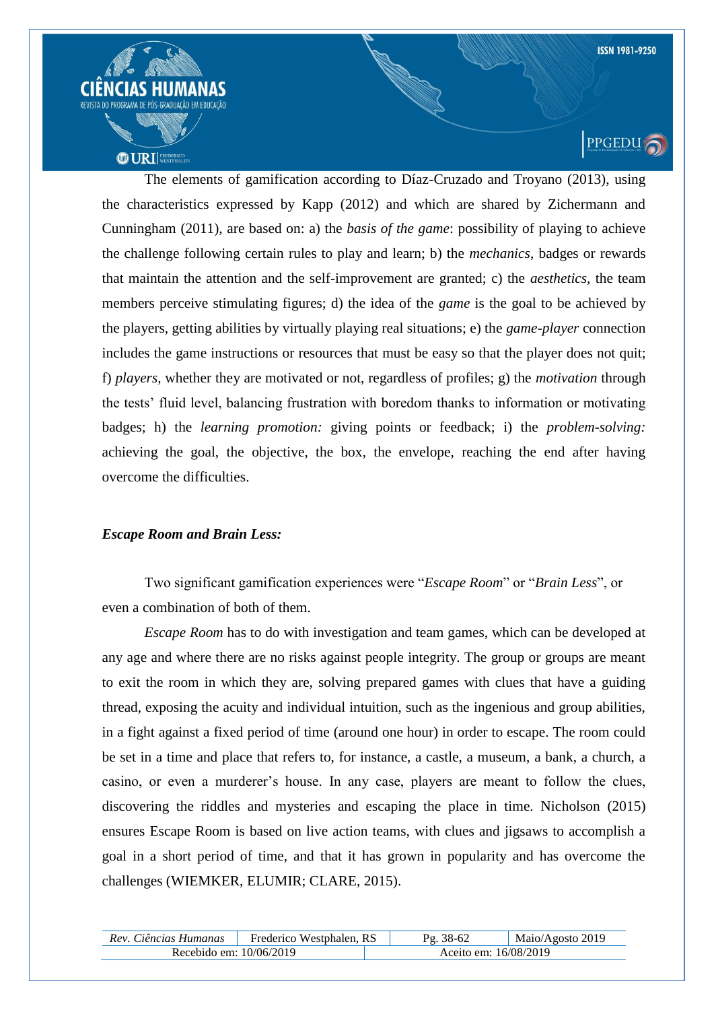

The elements of gamification according to Díaz-Cruzado and Troyano (2013), using the characteristics expressed by Kapp (2012) and which are shared by Zichermann and Cunningham (2011), are based on: a) the *basis of the game*: possibility of playing to achieve the challenge following certain rules to play and learn; b) the *mechanics*, badges or rewards that maintain the attention and the self-improvement are granted; c) the *aesthetics,* the team members perceive stimulating figures; d) the idea of the *game* is the goal to be achieved by the players, getting abilities by virtually playing real situations; e) the *game-player* connection includes the game instructions or resources that must be easy so that the player does not quit; f) *players,* whether they are motivated or not, regardless of profiles; g) the *motivation* through the tests" fluid level, balancing frustration with boredom thanks to information or motivating badges; h) the *learning promotion:* giving points or feedback; i) the *problem-solving:* achieving the goal, the objective, the box, the envelope, reaching the end after having overcome the difficulties.

#### *Escape Room and Brain Less:*

Two significant gamification experiences were "*Escape Room*" or "*Brain Less*", or even a combination of both of them.

*Escape Room* has to do with investigation and team games, which can be developed at any age and where there are no risks against people integrity. The group or groups are meant to exit the room in which they are, solving prepared games with clues that have a guiding thread, exposing the acuity and individual intuition, such as the ingenious and group abilities, in a fight against a fixed period of time (around one hour) in order to escape. The room could be set in a time and place that refers to, for instance, a castle, a museum, a bank, a church, a casino, or even a murderer"s house. In any case, players are meant to follow the clues, discovering the riddles and mysteries and escaping the place in time. Nicholson (2015) ensures Escape Room is based on live action teams, with clues and jigsaws to accomplish a goal in a short period of time, and that it has grown in popularity and has overcome the challenges (WIEMKER, ELUMIR; CLARE, 2015).

| Rev. Ciências Humanas     | Frederico Westphalen, RS |                       | Maio/Agosto 2019 |
|---------------------------|--------------------------|-----------------------|------------------|
| Recebido em: $10/06/2019$ |                          | Aceito em: 16/08/2019 |                  |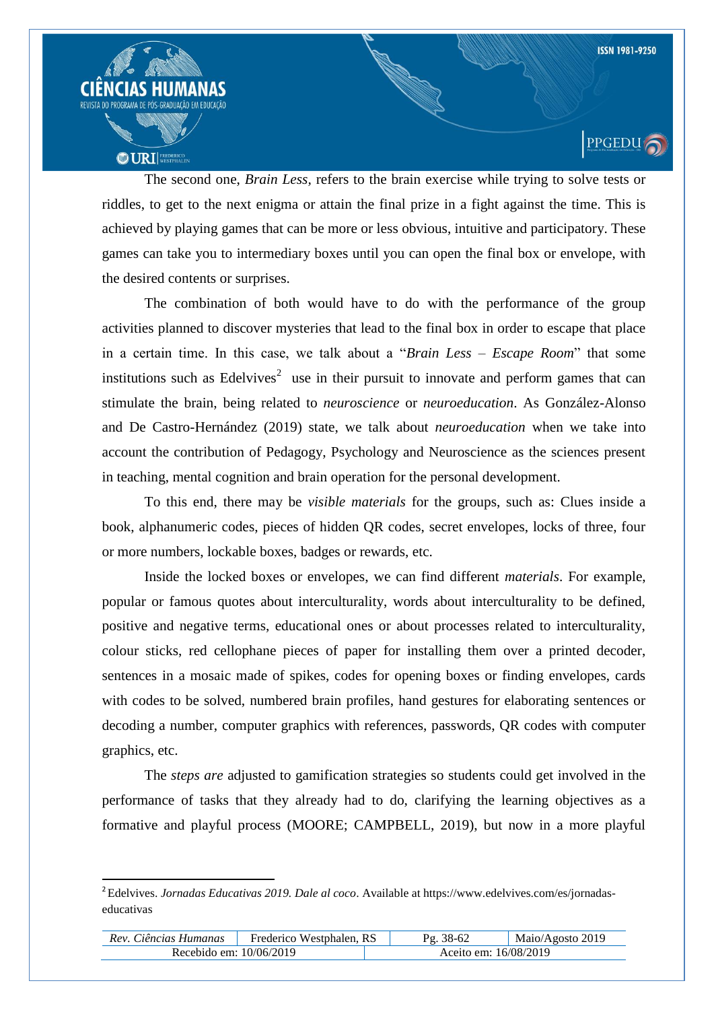

The second one, *Brain Less,* refers to the brain exercise while trying to solve tests or riddles, to get to the next enigma or attain the final prize in a fight against the time. This is achieved by playing games that can be more or less obvious, intuitive and participatory. These games can take you to intermediary boxes until you can open the final box or envelope, with the desired contents or surprises.

The combination of both would have to do with the performance of the group activities planned to discover mysteries that lead to the final box in order to escape that place in a certain time. In this case, we talk about a "*Brain Less* – *Escape Room*" that some institutions such as Edelvives<sup>2</sup> use in their pursuit to innovate and perform games that can stimulate the brain, being related to *neuroscience* or *neuroeducation*. As González-Alonso and De Castro-Hernández (2019) state, we talk about *neuroeducation* when we take into account the contribution of Pedagogy, Psychology and Neuroscience as the sciences present in teaching, mental cognition and brain operation for the personal development.

To this end, there may be *visible materials* for the groups, such as: Clues inside a book, alphanumeric codes, pieces of hidden QR codes, secret envelopes, locks of three, four or more numbers, lockable boxes, badges or rewards, etc.

Inside the locked boxes or envelopes, we can find different *materials*. For example, popular or famous quotes about interculturality, words about interculturality to be defined, positive and negative terms, educational ones or about processes related to interculturality, colour sticks, red cellophane pieces of paper for installing them over a printed decoder, sentences in a mosaic made of spikes, codes for opening boxes or finding envelopes, cards with codes to be solved, numbered brain profiles, hand gestures for elaborating sentences or decoding a number, computer graphics with references, passwords, QR codes with computer graphics, etc.

The *steps are* adjusted to gamification strategies so students could get involved in the performance of tasks that they already had to do, clarifying the learning objectives as a formative and playful process (MOORE; CAMPBELL, 2019), but now in a more playful

 $\overline{a}$ 

| Rev. Ciências Humanas     | Frederico Westphalen, RS | 38-62                 | Maio/Agosto 2019 |
|---------------------------|--------------------------|-----------------------|------------------|
| Recebido em: $10/06/2019$ |                          | Aceito em: 16/08/2019 |                  |

<sup>2</sup> Edelvives. *Jornadas Educativas 2019. Dale al coco*. Available at https://www.edelvives.com/es/jornadaseducativas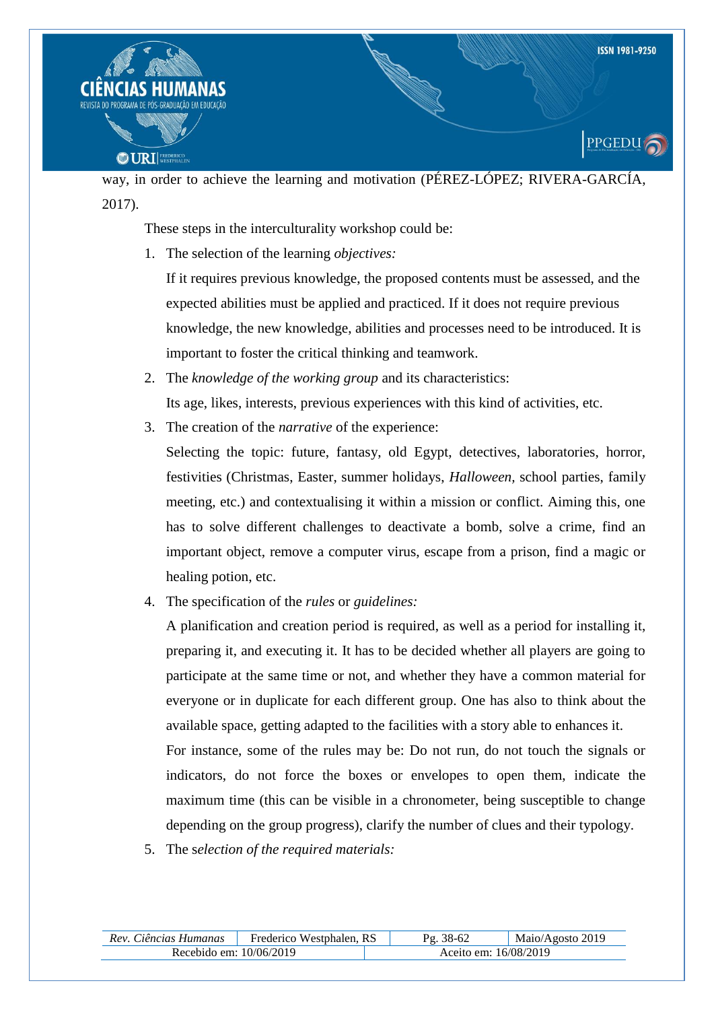

way, in order to achieve the learning and motivation (PÉREZ-LÓPEZ; RIVERA-GARCÍA, 2017).

These steps in the interculturality workshop could be:

1. The selection of the learning *objectives:*

If it requires previous knowledge, the proposed contents must be assessed, and the expected abilities must be applied and practiced. If it does not require previous knowledge, the new knowledge, abilities and processes need to be introduced. It is important to foster the critical thinking and teamwork.

- 2. The *knowledge of the working group* and its characteristics: Its age, likes, interests, previous experiences with this kind of activities, etc.
- 3. The creation of the *narrative* of the experience:

Selecting the topic: future, fantasy, old Egypt, detectives, laboratories, horror, festivities (Christmas, Easter, summer holidays, *Halloween,* school parties, family meeting, etc.) and contextualising it within a mission or conflict. Aiming this, one has to solve different challenges to deactivate a bomb, solve a crime, find an important object, remove a computer virus, escape from a prison, find a magic or healing potion, etc.

4. The specification of the *rules* or *guidelines:*

A planification and creation period is required, as well as a period for installing it, preparing it, and executing it. It has to be decided whether all players are going to participate at the same time or not, and whether they have a common material for everyone or in duplicate for each different group. One has also to think about the available space, getting adapted to the facilities with a story able to enhances it. For instance, some of the rules may be: Do not run, do not touch the signals or indicators, do not force the boxes or envelopes to open them, indicate the maximum time (this can be visible in a chronometer, being susceptible to change depending on the group progress), clarify the number of clues and their typology.

5. The s*election of the required materials:*

| Rev. Ciências Humanas     | Frederico Westphalen, RS |                       | Maio/Agosto 2019 |
|---------------------------|--------------------------|-----------------------|------------------|
| Recebido em: $10/06/2019$ |                          | Aceito em: 16/08/2019 |                  |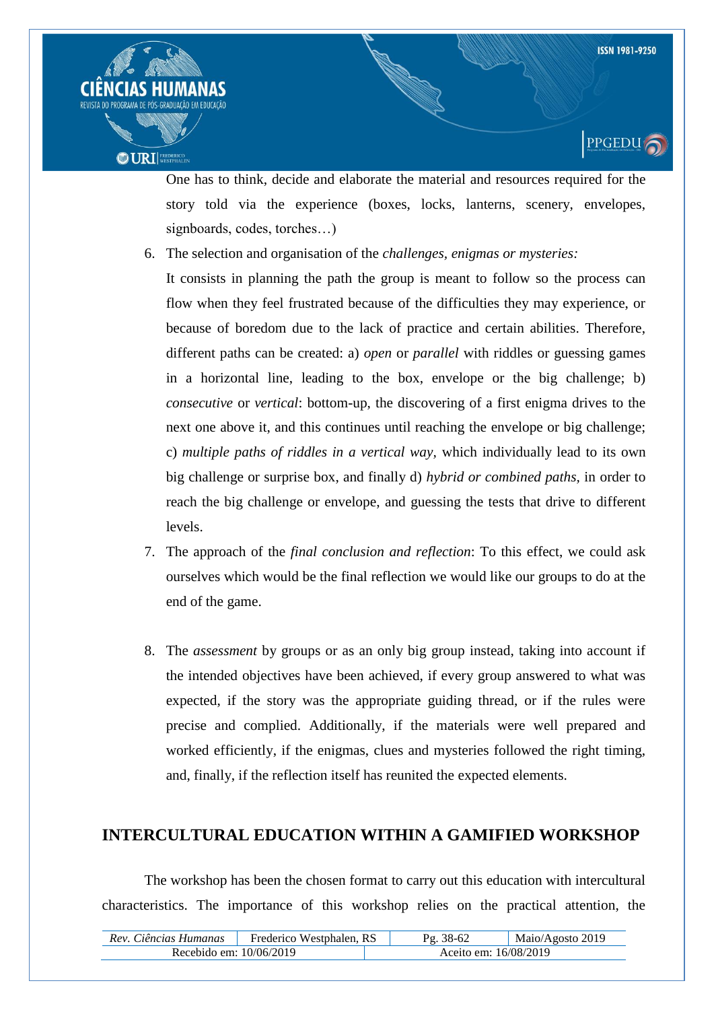

**PPGEDU** 



One has to think, decide and elaborate the material and resources required for the story told via the experience (boxes, locks, lanterns, scenery, envelopes, signboards, codes, torches…)

6. The selection and organisation of the *challenges, enigmas or mysteries:*

It consists in planning the path the group is meant to follow so the process can flow when they feel frustrated because of the difficulties they may experience, or because of boredom due to the lack of practice and certain abilities. Therefore, different paths can be created: a) *open* or *parallel* with riddles or guessing games in a horizontal line, leading to the box, envelope or the big challenge; b) *consecutive* or *vertical*: bottom-up, the discovering of a first enigma drives to the next one above it, and this continues until reaching the envelope or big challenge; c) *multiple paths of riddles in a vertical way,* which individually lead to its own big challenge or surprise box, and finally d) *hybrid or combined paths,* in order to reach the big challenge or envelope, and guessing the tests that drive to different levels.

- 7. The approach of the *final conclusion and reflection*: To this effect, we could ask ourselves which would be the final reflection we would like our groups to do at the end of the game.
- 8. The *assessment* by groups or as an only big group instead, taking into account if the intended objectives have been achieved, if every group answered to what was expected, if the story was the appropriate guiding thread, or if the rules were precise and complied. Additionally, if the materials were well prepared and worked efficiently, if the enigmas, clues and mysteries followed the right timing, and, finally, if the reflection itself has reunited the expected elements.

# **INTERCULTURAL EDUCATION WITHIN A GAMIFIED WORKSHOP**

The workshop has been the chosen format to carry out this education with intercultural characteristics. The importance of this workshop relies on the practical attention, the

| Rev. Ciências Humanas   | Frederico Westphalen, RS |                       | Maio/Agosto 2019 |
|-------------------------|--------------------------|-----------------------|------------------|
| Recebido em: 10/06/2019 |                          | Aceito em: 16/08/2019 |                  |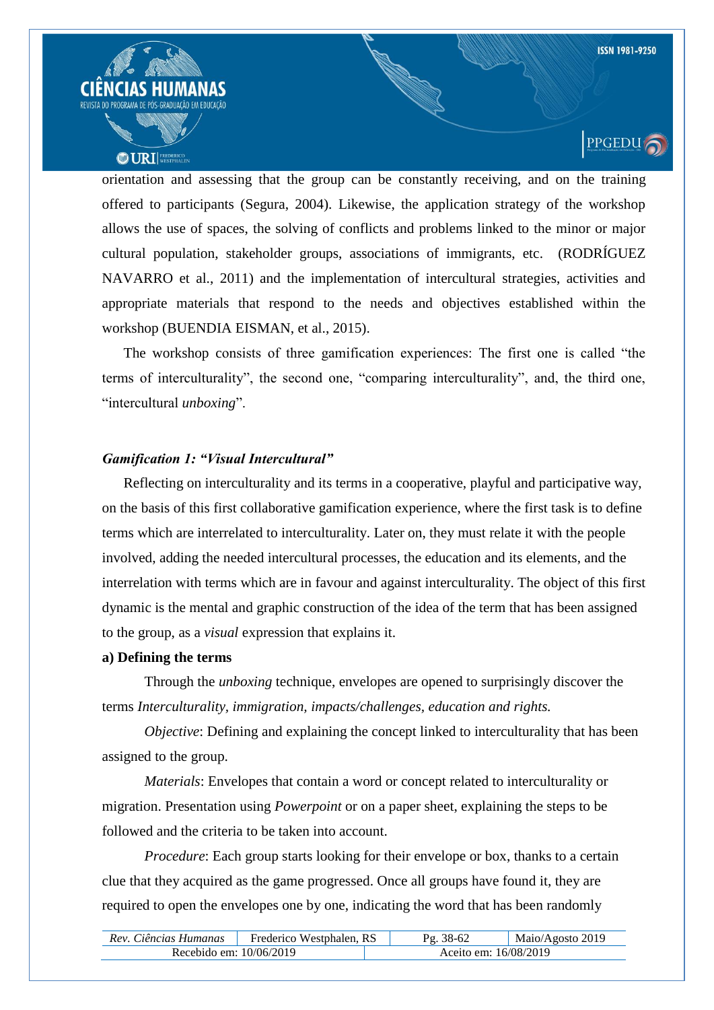

orientation and assessing that the group can be constantly receiving, and on the training offered to participants (Segura, 2004). Likewise, the application strategy of the workshop allows the use of spaces, the solving of conflicts and problems linked to the minor or major cultural population, stakeholder groups, associations of immigrants, etc. (RODRÍGUEZ NAVARRO et al., 2011) and the implementation of intercultural strategies, activities and appropriate materials that respond to the needs and objectives established within the workshop (BUENDIA EISMAN, et al., 2015).

The workshop consists of three gamification experiences: The first one is called "the terms of interculturality", the second one, "comparing interculturality", and, the third one, "intercultural *unboxing*".

#### *Gamification 1: "Visual Intercultural"*

Reflecting on interculturality and its terms in a cooperative, playful and participative way, on the basis of this first collaborative gamification experience, where the first task is to define terms which are interrelated to interculturality. Later on, they must relate it with the people involved, adding the needed intercultural processes, the education and its elements, and the interrelation with terms which are in favour and against interculturality. The object of this first dynamic is the mental and graphic construction of the idea of the term that has been assigned to the group, as a *visual* expression that explains it.

#### **a) Defining the terms**

Through the *unboxing* technique, envelopes are opened to surprisingly discover the terms *Interculturality, immigration, impacts/challenges, education and rights.*

*Objective*: Defining and explaining the concept linked to interculturality that has been assigned to the group.

*Materials*: Envelopes that contain a word or concept related to interculturality or migration. Presentation using *Powerpoint* or on a paper sheet, explaining the steps to be followed and the criteria to be taken into account.

*Procedure*: Each group starts looking for their envelope or box, thanks to a certain clue that they acquired as the game progressed. Once all groups have found it, they are required to open the envelopes one by one, indicating the word that has been randomly

| Rev. Ciências Humanas     | Frederico Westphalen, RS | $38-62$<br>Pσ         | Maio/Agosto 2019 |
|---------------------------|--------------------------|-----------------------|------------------|
| Recebido em: $10/06/2019$ |                          | Aceito em: 16/08/2019 |                  |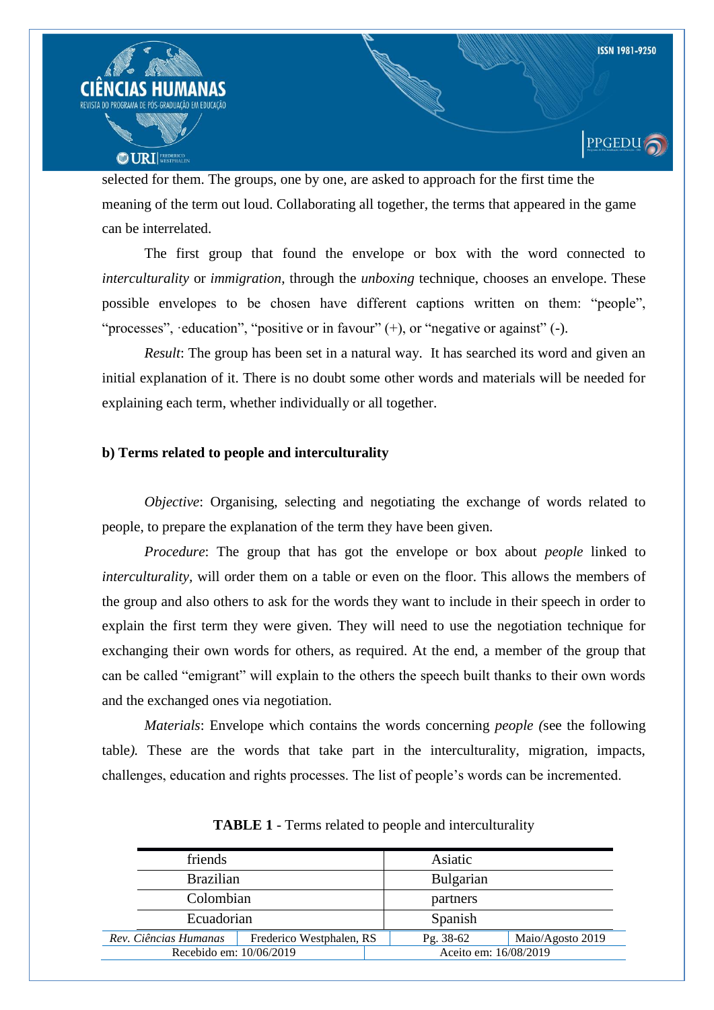

selected for them. The groups, one by one, are asked to approach for the first time the meaning of the term out loud. Collaborating all together, the terms that appeared in the game can be interrelated.

The first group that found the envelope or box with the word connected to *interculturality* or *immigration*, through the *unboxing* technique, chooses an envelope. These possible envelopes to be chosen have different captions written on them: "people", "processes", ·education", "positive or in favour" (+), or "negative or against" (-).

*Result*: The group has been set in a natural way. It has searched its word and given an initial explanation of it. There is no doubt some other words and materials will be needed for explaining each term, whether individually or all together.

#### **b) Terms related to people and interculturality**

*Objective*: Organising, selecting and negotiating the exchange of words related to people, to prepare the explanation of the term they have been given.

*Procedure*: The group that has got the envelope or box about *people* linked to *interculturality,* will order them on a table or even on the floor. This allows the members of the group and also others to ask for the words they want to include in their speech in order to explain the first term they were given. They will need to use the negotiation technique for exchanging their own words for others, as required. At the end, a member of the group that can be called "emigrant" will explain to the others the speech built thanks to their own words and the exchanged ones via negotiation.

*Materials*: Envelope which contains the words concerning *people (*see the following table*).* These are the words that take part in the interculturality, migration, impacts, challenges, education and rights processes. The list of people"s words can be incremented.

| friends                                           |  |           | Asiatic               |                  |
|---------------------------------------------------|--|-----------|-----------------------|------------------|
| <b>Brazilian</b>                                  |  |           | Bulgarian             |                  |
| Colombian                                         |  |           | partners              |                  |
| Ecuadorian                                        |  |           | Spanish               |                  |
| Rev. Ciências Humanas<br>Frederico Westphalen, RS |  | Pg. 38-62 |                       | Maio/Agosto 2019 |
| Recebido em: 10/06/2019                           |  |           | Aceito em: 16/08/2019 |                  |

**TABLE 1** - Terms related to people and interculturality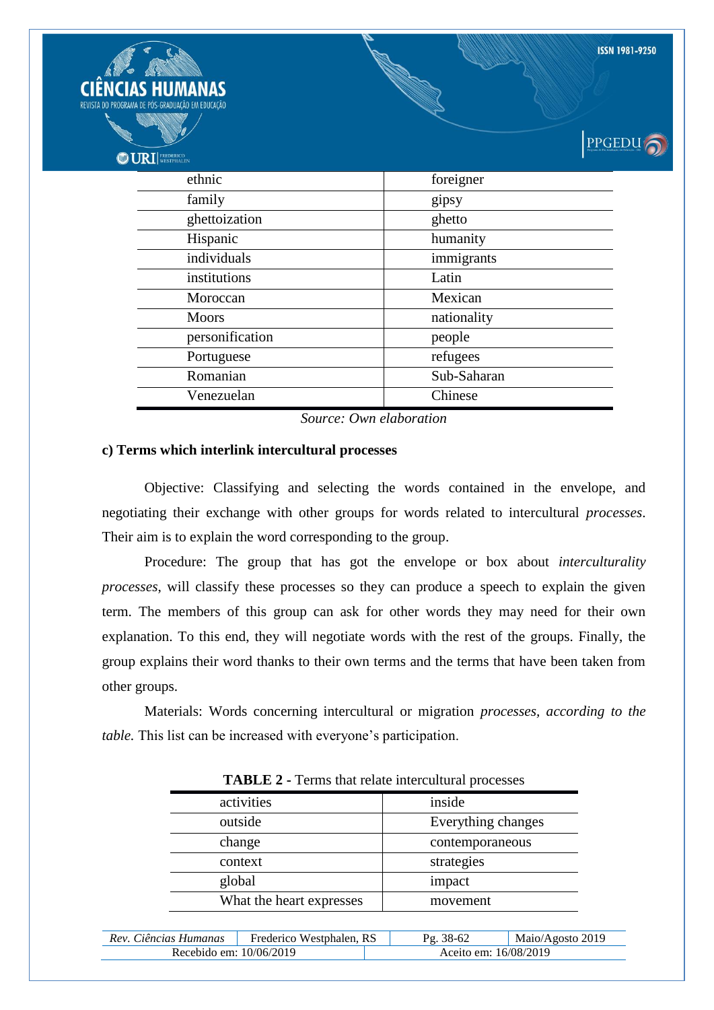| <b>NCIAS HUMANAS</b><br>DO PROGRAMA DE PÓS-GRADUAÇÃO EM EDUCAÇÃO<br><b>ODURI</b> WESTPHALEN |             | <b>ISSN 1981-9250</b><br><b>PPGEDU</b> |
|---------------------------------------------------------------------------------------------|-------------|----------------------------------------|
| ethnic                                                                                      | foreigner   |                                        |
| family                                                                                      | gipsy       |                                        |
| ghettoization                                                                               | ghetto      |                                        |
| Hispanic                                                                                    | humanity    |                                        |
| individuals                                                                                 | immigrants  |                                        |
| institutions                                                                                | Latin       |                                        |
| Moroccan                                                                                    | Mexican     |                                        |
| <b>Moors</b>                                                                                | nationality |                                        |
| personification                                                                             | people      |                                        |
| Portuguese                                                                                  | refugees    |                                        |
| Romanian                                                                                    | Sub-Saharan |                                        |
| Venezuelan                                                                                  | Chinese     |                                        |

*Source: Own elaboration*

#### **c) Terms which interlink intercultural processes**

CII REVIST

> Objective: Classifying and selecting the words contained in the envelope, and negotiating their exchange with other groups for words related to intercultural *processes*. Their aim is to explain the word corresponding to the group.

> Procedure: The group that has got the envelope or box about *interculturality processes*, will classify these processes so they can produce a speech to explain the given term. The members of this group can ask for other words they may need for their own explanation. To this end, they will negotiate words with the rest of the groups. Finally, the group explains their word thanks to their own terms and the terms that have been taken from other groups.

> Materials: Words concerning intercultural or migration *processes, according to the table*. This list can be increased with everyone's participation.

| activities               | inside             |
|--------------------------|--------------------|
| outside                  | Everything changes |
| change                   | contemporaneous    |
| context                  | strategies         |
| global                   | impact             |
| What the heart expresses | movement           |

**TABLE 2 -** Terms that relate intercultural processes

| Rev. Ciências Humanas   | Frederico Westphalen, RS | 38-62<br>Pσ           | Maio/Agosto 2019 |
|-------------------------|--------------------------|-----------------------|------------------|
| Recebido em: 10/06/2019 |                          | Aceito em: 16/08/2019 |                  |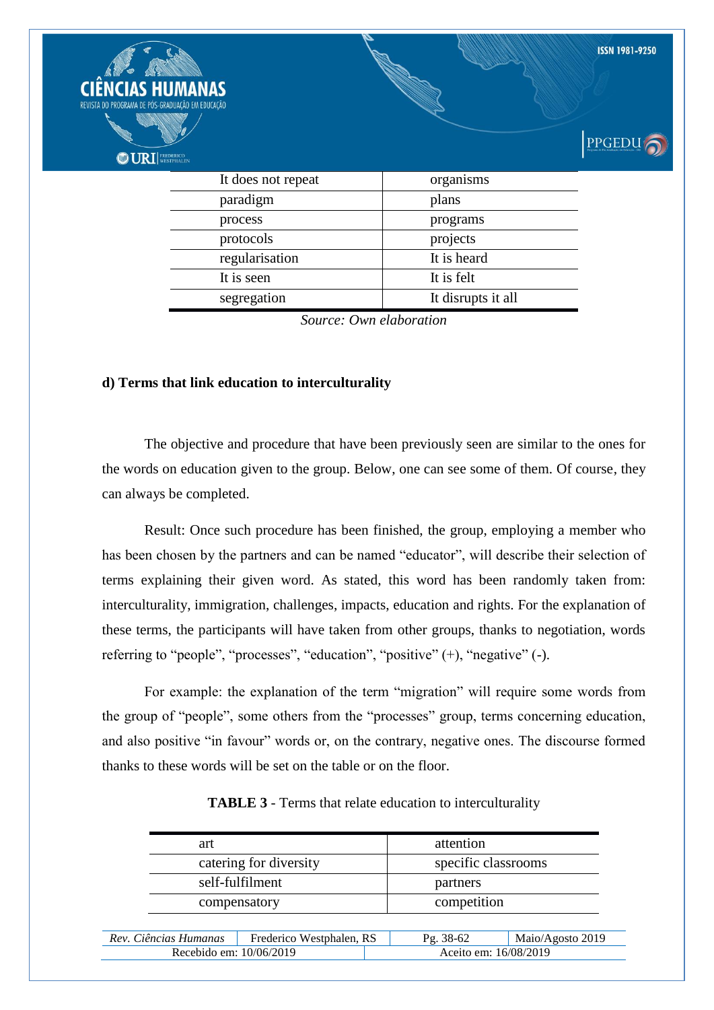

segregation It disrupts it all *Source: Own elaboration*

#### **d) Terms that link education to interculturality**

The objective and procedure that have been previously seen are similar to the ones for the words on education given to the group. Below, one can see some of them. Of course, they can always be completed.

Result: Once such procedure has been finished, the group, employing a member who has been chosen by the partners and can be named "educator", will describe their selection of terms explaining their given word. As stated, this word has been randomly taken from: interculturality, immigration, challenges, impacts, education and rights. For the explanation of these terms, the participants will have taken from other groups, thanks to negotiation, words referring to "people", "processes", "education", "positive" (+), "negative" (-).

For example: the explanation of the term "migration" will require some words from the group of "people", some others from the "processes" group, terms concerning education, and also positive "in favour" words or, on the contrary, negative ones. The discourse formed thanks to these words will be set on the table or on the floor.

|                         | art                    |                          | attention           |                  |
|-------------------------|------------------------|--------------------------|---------------------|------------------|
|                         | catering for diversity |                          | specific classrooms |                  |
|                         | self-fulfilment        |                          | partners            |                  |
|                         | compensatory           |                          | competition         |                  |
|                         |                        |                          |                     |                  |
|                         | Rev. Ciências Humanas  | Frederico Westphalen, RS | Pg. 38-62           | Maio/Agosto 2019 |
| Recebido em: 10/06/2019 |                        | Aceito em: 16/08/2019    |                     |                  |

**TABLE 3** - Terms that relate education to interculturality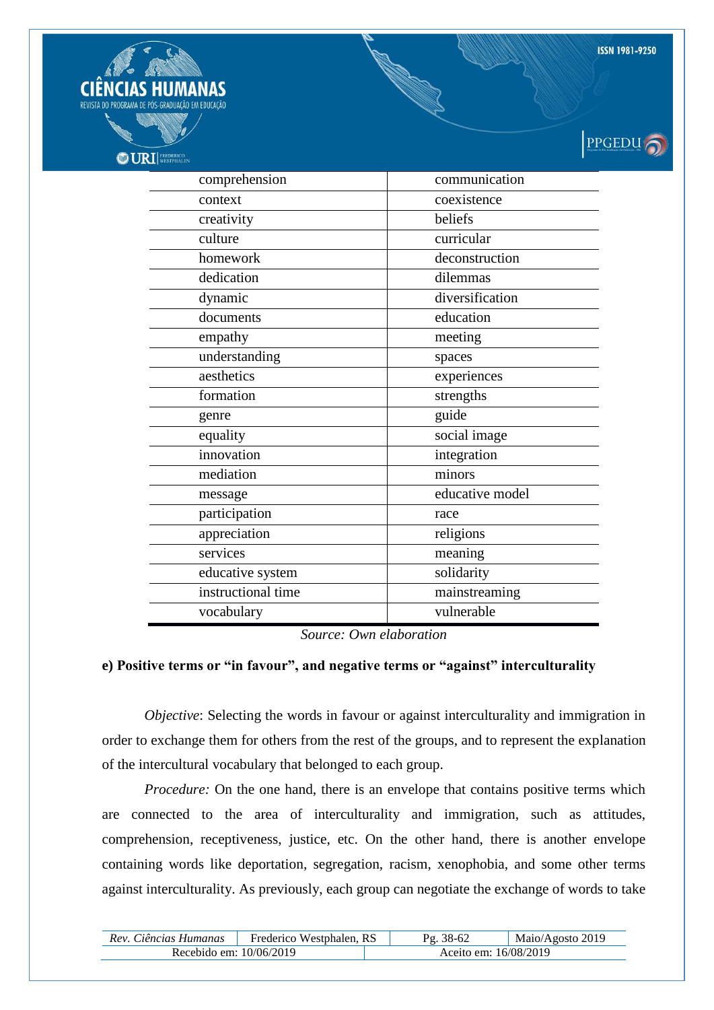



# PPGEDU

| comprehension      | communication   |
|--------------------|-----------------|
| context            | coexistence     |
| creativity         | beliefs         |
| culture            | curricular      |
| homework           | deconstruction  |
| dedication         | dilemmas        |
| dynamic            | diversification |
| documents          | education       |
| empathy            | meeting         |
| understanding      | spaces          |
| aesthetics         | experiences     |
| formation          | strengths       |
| genre              | guide           |
| equality           | social image    |
| innovation         | integration     |
| mediation          | minors          |
| message            | educative model |
| participation      | race            |
| appreciation       | religions       |
| services           | meaning         |
| educative system   | solidarity      |
| instructional time | mainstreaming   |
| vocabulary         | vulnerable      |

*Source: Own elaboration*

### **e) Positive terms or "in favour", and negative terms or "against" interculturality**

*Objective*: Selecting the words in favour or against interculturality and immigration in order to exchange them for others from the rest of the groups, and to represent the explanation of the intercultural vocabulary that belonged to each group.

*Procedure:* On the one hand, there is an envelope that contains positive terms which are connected to the area of interculturality and immigration, such as attitudes, comprehension, receptiveness, justice, etc. On the other hand, there is another envelope containing words like deportation, segregation, racism, xenophobia, and some other terms against interculturality. As previously, each group can negotiate the exchange of words to take

| Rev. Ciências Humanas     | Westphalen, RS<br>Frederico |                       | Maio/Agosto 2019 |
|---------------------------|-----------------------------|-----------------------|------------------|
| Recebido em: $10/06/2019$ |                             | Aceito em: 16/08/2019 |                  |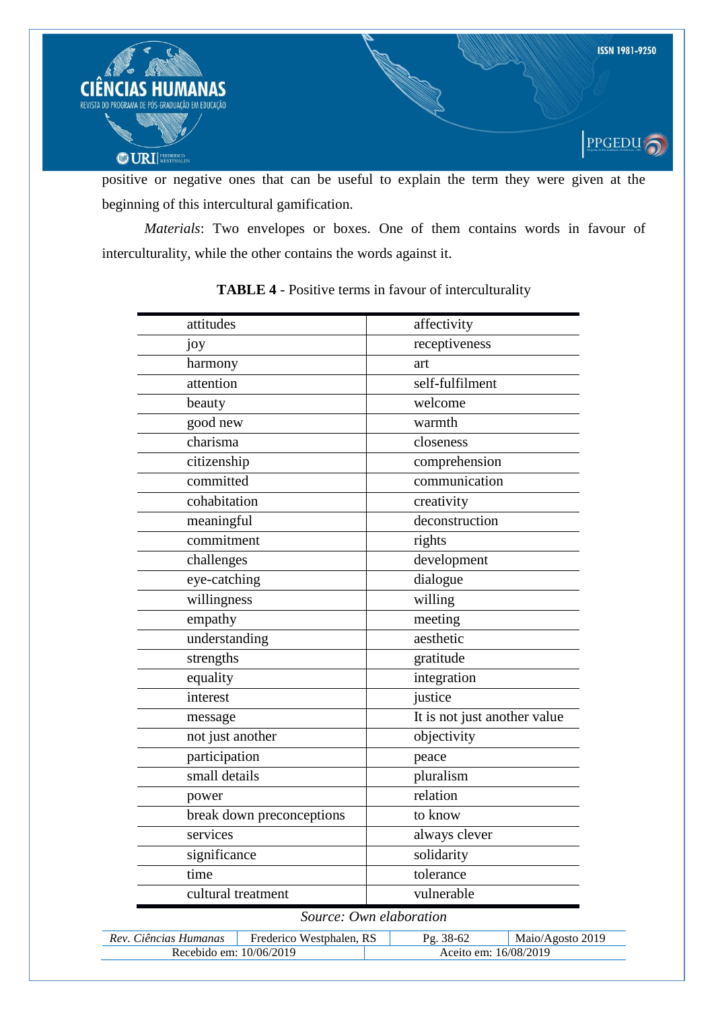

positive or negative ones that can be useful to explain the term they were given at the beginning of this intercultural gamification.

*Materials*: Two envelopes or boxes. One of them contains words in favour of interculturality, while the other contains the words against it.

| attitudes                 | affectivity                  |
|---------------------------|------------------------------|
| joy                       | receptiveness                |
| harmony                   | art                          |
| attention                 | self-fulfilment              |
| beauty                    | welcome                      |
| good new                  | warmth                       |
| charisma                  | closeness                    |
| citizenship               | comprehension                |
| committed                 | communication                |
| cohabitation              | creativity                   |
| meaningful                | deconstruction               |
| commitment                | rights                       |
| challenges                | development                  |
| eye-catching              | dialogue                     |
| willingness               | willing                      |
| empathy                   | meeting                      |
| understanding             | aesthetic                    |
| strengths                 | gratitude                    |
| equality                  | integration                  |
| interest                  | justice                      |
| message                   | It is not just another value |
| not just another          | objectivity                  |
| participation             | peace                        |
| small details             | pluralism                    |
| power                     | relation                     |
| break down preconceptions | to know                      |
| services                  | always clever                |
| significance              | solidarity                   |
| time                      | tolerance                    |
| cultural treatment        | vulnerable                   |

# **TABLE 4** - Positive terms in favour of interculturality

|  | Source: Own elaboration |  |  |  |
|--|-------------------------|--|--|--|
|--|-------------------------|--|--|--|

| Rev. Ciências Humanas   | Frederico Westphalen, RS |                       | Maio/Agosto 2019 |
|-------------------------|--------------------------|-----------------------|------------------|
| Recebido em: 10/06/2019 |                          | Aceito em: 16/08/2019 |                  |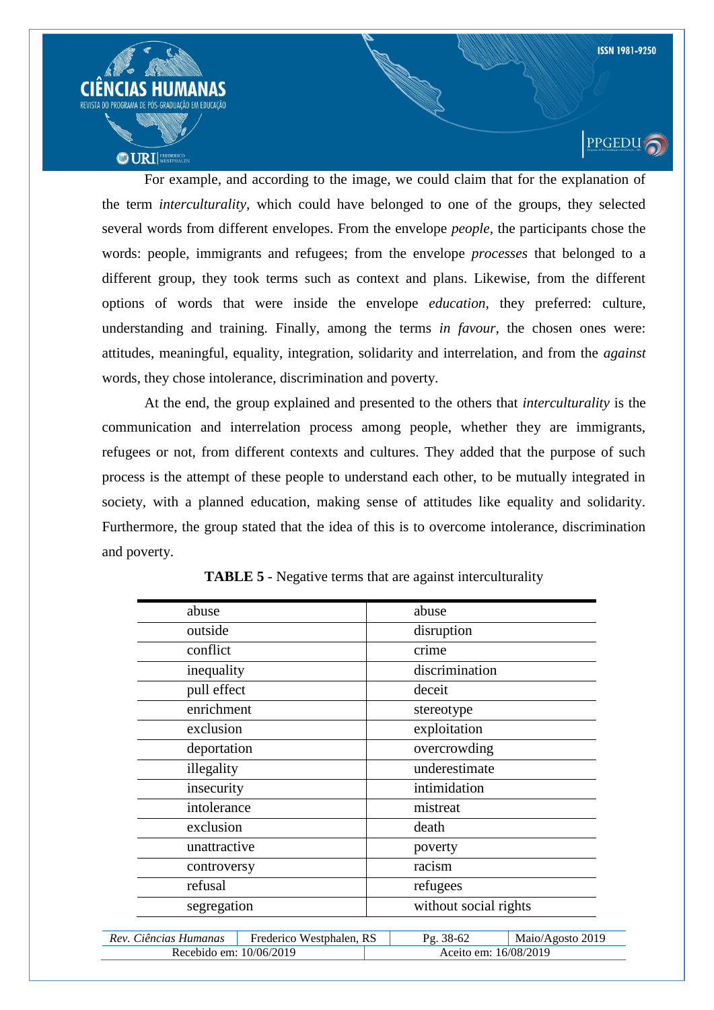

For example, and according to the image, we could claim that for the explanation of the term *interculturality,* which could have belonged to one of the groups, they selected several words from different envelopes. From the envelope *people,* the participants chose the words: people, immigrants and refugees; from the envelope *processes* that belonged to a different group, they took terms such as context and plans. Likewise, from the different options of words that were inside the envelope *education,* they preferred: culture, understanding and training. Finally, among the terms *in favour,* the chosen ones were: attitudes, meaningful, equality, integration, solidarity and interrelation, and from the *against*  words, they chose intolerance, discrimination and poverty.

At the end, the group explained and presented to the others that *interculturality* is the communication and interrelation process among people, whether they are immigrants, refugees or not, from different contexts and cultures. They added that the purpose of such process is the attempt of these people to understand each other, to be mutually integrated in society, with a planned education, making sense of attitudes like equality and solidarity. Furthermore, the group stated that the idea of this is to overcome intolerance, discrimination and poverty.

| abuse                                             | abuse                         |
|---------------------------------------------------|-------------------------------|
| outside                                           | disruption                    |
| conflict                                          | crime                         |
| inequality                                        | discrimination                |
| pull effect                                       | deceit                        |
| enrichment                                        | stereotype                    |
| exclusion                                         | exploitation                  |
| deportation                                       | overcrowding                  |
| illegality                                        | underestimate                 |
| insecurity                                        | intimidation                  |
| intolerance                                       | mistreat                      |
| exclusion                                         | death                         |
| unattractive                                      | poverty                       |
| controversy                                       | racism                        |
| refusal                                           | refugees                      |
| segregation                                       | without social rights         |
| Rev. Ciências Humanas<br>Frederico Westphalen, RS | Pg. 38-62<br>Maio/Agosto 2019 |
| Recebido em: 10/06/2019                           | Aceito em: 16/08/2019         |

|  | <b>TABLE 5</b> - Negative terms that are against interculturality |  |
|--|-------------------------------------------------------------------|--|
|  |                                                                   |  |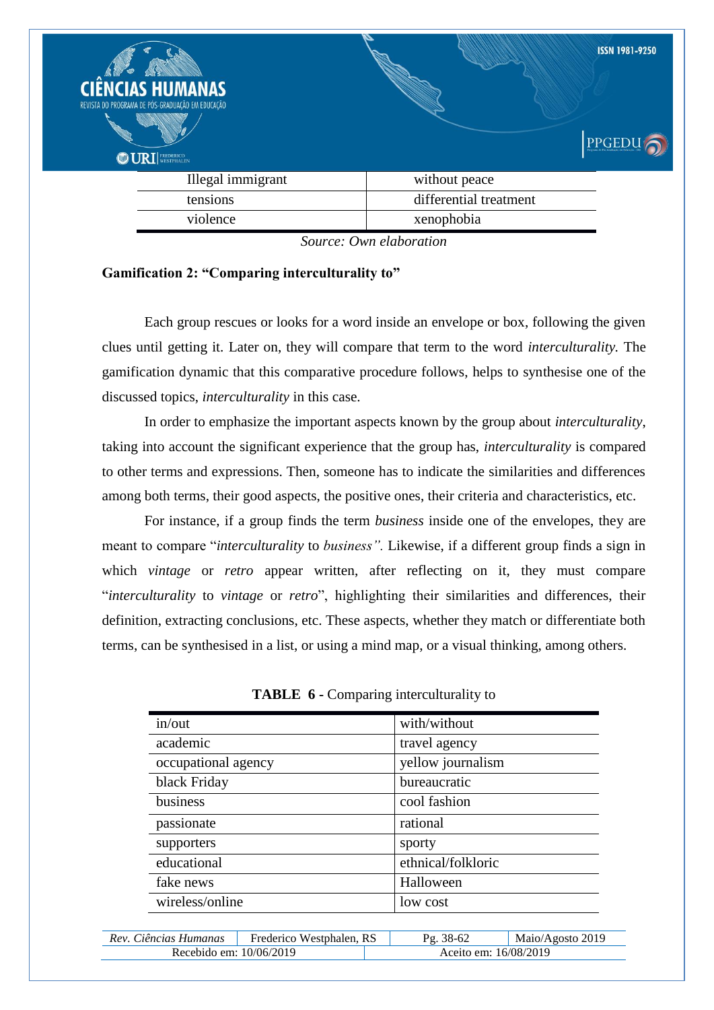| <b>CIÊNCIAS HUMANAS</b><br>REVISTA DO PROGRAMA DE PÓS-GRADUAÇÃO EM EDUCAÇÃO<br><b>OURI</b> WESTPHALEN |                                                                         | <b>ISSN 1981-9250</b><br>PPGEDU |
|-------------------------------------------------------------------------------------------------------|-------------------------------------------------------------------------|---------------------------------|
| Illegal immigrant                                                                                     | without peace                                                           |                                 |
| tensions                                                                                              | differential treatment                                                  |                                 |
| violence                                                                                              | xenophobia                                                              |                                 |
|                                                                                                       | $C_{\text{source}}$ $\Omega_{\text{rms}}$ $I_{\text{m}}$ $I_{\text{m}}$ |                                 |

*Source: Own elaboration*

## **Gamification 2: "Comparing interculturality to"**

Each group rescues or looks for a word inside an envelope or box, following the given clues until getting it. Later on, they will compare that term to the word *interculturality.* The gamification dynamic that this comparative procedure follows, helps to synthesise one of the discussed topics, *interculturality* in this case.

In order to emphasize the important aspects known by the group about *interculturality*, taking into account the significant experience that the group has, *interculturality* is compared to other terms and expressions. Then, someone has to indicate the similarities and differences among both terms, their good aspects, the positive ones, their criteria and characteristics, etc.

For instance, if a group finds the term *business* inside one of the envelopes, they are meant to compare "*interculturality* to *business".* Likewise, if a different group finds a sign in which *vintage* or *retro* appear written, after reflecting on it, they must compare "*interculturality* to *vintage* or *retro*", highlighting their similarities and differences, their definition, extracting conclusions, etc. These aspects, whether they match or differentiate both terms, can be synthesised in a list, or using a mind map, or a visual thinking, among others.

| in/out              | with/without       |
|---------------------|--------------------|
| academic            | travel agency      |
| occupational agency | yellow journalism  |
| black Friday        | bureaucratic       |
| business            | cool fashion       |
| passionate          | rational           |
| supporters          | sporty             |
| educational         | ethnical/folkloric |
| fake news           | Halloween          |
| wireless/online     | low cost           |

| Rev. Ciências Humanas   | Frederico Westphalen, RS | 38-62<br>Ρσ           | Maio/Agosto 2019 |
|-------------------------|--------------------------|-----------------------|------------------|
| Recebido em: 10/06/2019 |                          | Aceito em: 16/08/2019 |                  |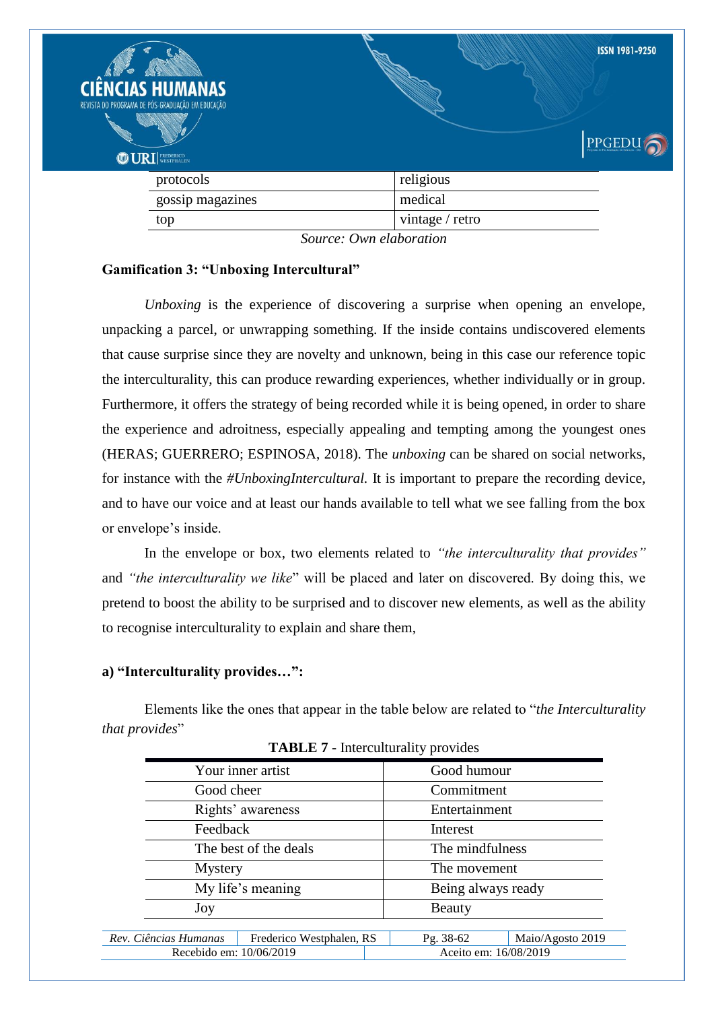| <b>CIÊNCIAS HUMANAS</b><br>REVISTA DO PROGRAMA DE PÓS-GRADUAÇÃO EM EDUCAÇÃO<br><b>ODURI</b> WESTPHALEN | <b>ISSN 1981-9250</b><br>PPGEDU |
|--------------------------------------------------------------------------------------------------------|---------------------------------|
| protocols                                                                                              | religious                       |
| gossip magazines                                                                                       | medical                         |
| top                                                                                                    | vintage / retro                 |
|                                                                                                        | Source: Own elaboration         |

**Gamification 3: "Unboxing Intercultural"** 

*Unboxing* is the experience of discovering a surprise when opening an envelope, unpacking a parcel, or unwrapping something. If the inside contains undiscovered elements that cause surprise since they are novelty and unknown, being in this case our reference topic the interculturality, this can produce rewarding experiences, whether individually or in group. Furthermore, it offers the strategy of being recorded while it is being opened, in order to share the experience and adroitness, especially appealing and tempting among the youngest ones (HERAS; GUERRERO; ESPINOSA, 2018). The *unboxing* can be shared on social networks, for instance with the *#UnboxingIntercultural.* It is important to prepare the recording device, and to have our voice and at least our hands available to tell what we see falling from the box or envelope"s inside.

In the envelope or box, two elements related to *"the interculturality that provides"*  and *"the interculturality we like*" will be placed and later on discovered. By doing this, we pretend to boost the ability to be surprised and to discover new elements, as well as the ability to recognise interculturality to explain and share them,

## **a) "Interculturality provides…":**

Elements like the ones that appear in the table below are related to "*the Interculturality that provides*"

|                         | Your inner artist        |                    | Good humour     |                       |
|-------------------------|--------------------------|--------------------|-----------------|-----------------------|
|                         | Good cheer               |                    | Commitment      |                       |
|                         | Rights' awareness        |                    | Entertainment   |                       |
| Feedback                |                          |                    | Interest        |                       |
| The best of the deals   |                          |                    | The mindfulness |                       |
| Mystery                 |                          | The movement       |                 |                       |
| My life's meaning       |                          | Being always ready |                 |                       |
| Beauty<br>Joy           |                          |                    |                 |                       |
|                         |                          |                    |                 |                       |
| Rev. Ciências Humanas   | Frederico Westphalen, RS |                    | Pg. 38-62       | Maio/Agosto 2019      |
| Recebido em: 10/06/2019 |                          |                    |                 | Aceito em: 16/08/2019 |

**TABLE 7** - Interculturality provides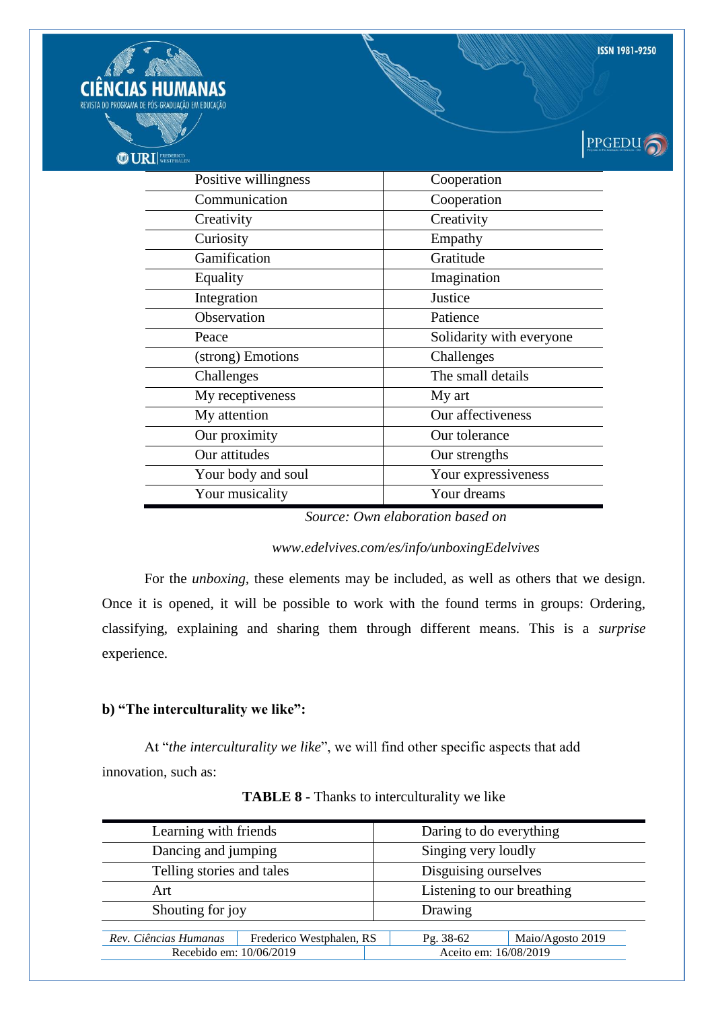PPGEDU<sub>1</sub> **OD URI** FREDERICO Positive willingness and Cooperation Communication Cooperation Creativity Creativity Curiosity Empathy Gamification Gratitude Equality Imagination Integration Justice Observation Patience Peace Solidarity with everyone (strong) Emotions Challenges Challenges The small details My receptiveness My art My attention and Duraffectiveness Our proximity Dur tolerance Our attitudes our strengths Your body and soul Your expressiveness Your musicality Your dreams

**ISSN 1981-9250** 

*Source: Own elaboration based on* 

#### *www.edelvives.com/es/info/unboxingEdelvives*

For the *unboxing,* these elements may be included, as well as others that we design. Once it is opened, it will be possible to work with the found terms in groups: Ordering, classifying, explaining and sharing them through different means. This is a *surprise*  experience.

#### **b) "The interculturality we like":**

At "*the interculturality we like*", we will find other specific aspects that add innovation, such as:

| Learning with friends     |                             | Daring to do everything    |           |                       |
|---------------------------|-----------------------------|----------------------------|-----------|-----------------------|
| Dancing and jumping       |                             | Singing very loudly        |           |                       |
| Telling stories and tales |                             | Disguising ourselves       |           |                       |
| Art                       |                             | Listening to our breathing |           |                       |
|                           | Shouting for joy<br>Drawing |                            |           |                       |
|                           |                             |                            |           |                       |
| Rev. Ciências Humanas     | Frederico Westphalen, RS    |                            | Pg. 38-62 | Maio/Agosto 2019      |
| Recebido em: 10/06/2019   |                             |                            |           | Aceito em: 16/08/2019 |
|                           |                             |                            |           |                       |

#### **TABLE 8** - Thanks to interculturality we like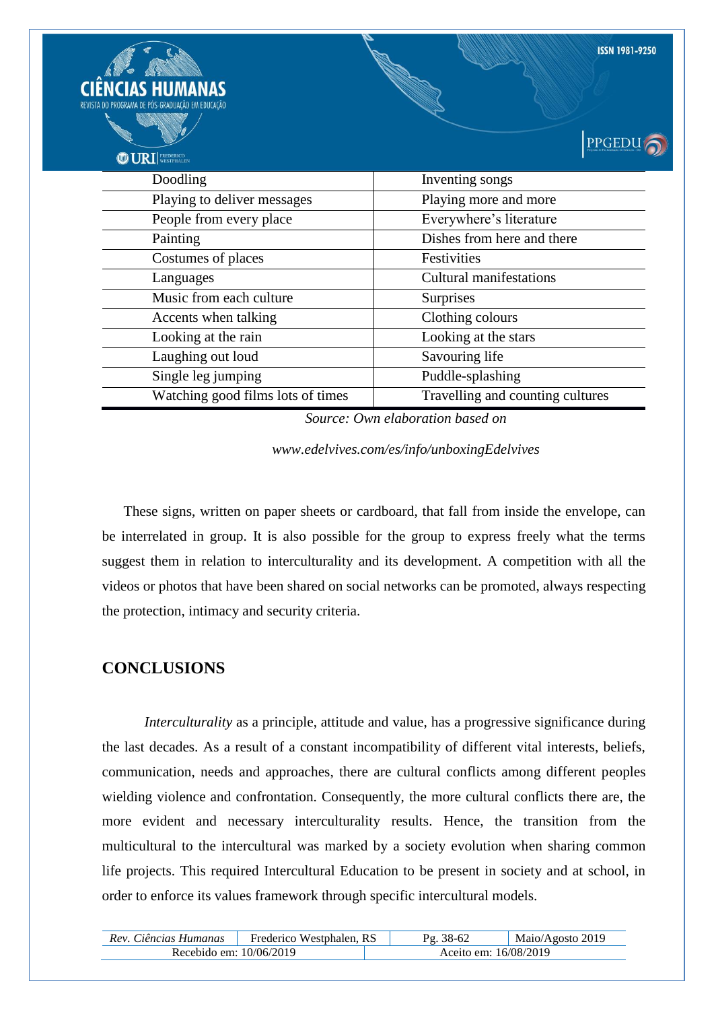| <b>CIAS HUMANAS</b><br>REVISTA DO PROGRAMA DE PÓS-GRADUAÇÃO EM EDUCAÇÃO<br><b>ODURI</b> FREDERICO | <b>ISSN 1981-9250</b><br><b>PPGED</b> |  |
|---------------------------------------------------------------------------------------------------|---------------------------------------|--|
| Doodling                                                                                          | Inventing songs                       |  |
| Playing to deliver messages                                                                       | Playing more and more                 |  |
| People from every place                                                                           | Everywhere's literature               |  |
| Painting                                                                                          | Dishes from here and there            |  |
| Costumes of places                                                                                | Festivities                           |  |
| Languages                                                                                         | <b>Cultural manifestations</b>        |  |
| Music from each culture                                                                           | Surprises                             |  |
| Accents when talking                                                                              | Clothing colours                      |  |
| Looking at the rain                                                                               | Looking at the stars                  |  |
| Laughing out loud                                                                                 | Savouring life                        |  |
| Single leg jumping                                                                                | Puddle-splashing                      |  |
| Watching good films lots of times                                                                 | Travelling and counting cultures      |  |

*Source: Own elaboration based on* 

*www.edelvives.com/es/info/unboxingEdelvives*

These signs, written on paper sheets or cardboard, that fall from inside the envelope, can be interrelated in group. It is also possible for the group to express freely what the terms suggest them in relation to interculturality and its development. A competition with all the videos or photos that have been shared on social networks can be promoted, always respecting the protection, intimacy and security criteria.

## **CONCLUSIONS**

*Interculturality* as a principle, attitude and value, has a progressive significance during the last decades. As a result of a constant incompatibility of different vital interests, beliefs, communication, needs and approaches, there are cultural conflicts among different peoples wielding violence and confrontation. Consequently, the more cultural conflicts there are, the more evident and necessary interculturality results. Hence, the transition from the multicultural to the intercultural was marked by a society evolution when sharing common life projects. This required Intercultural Education to be present in society and at school, in order to enforce its values framework through specific intercultural models.

| Rev. Ciências Humanas     | Frederico Westphalen, RS | 38-62<br>$\mathbf{p}_{\alpha}$ | Maio/Agosto 2019 |
|---------------------------|--------------------------|--------------------------------|------------------|
| Recebido em: $10/06/2019$ |                          | Aceito em: 16/08/2019          |                  |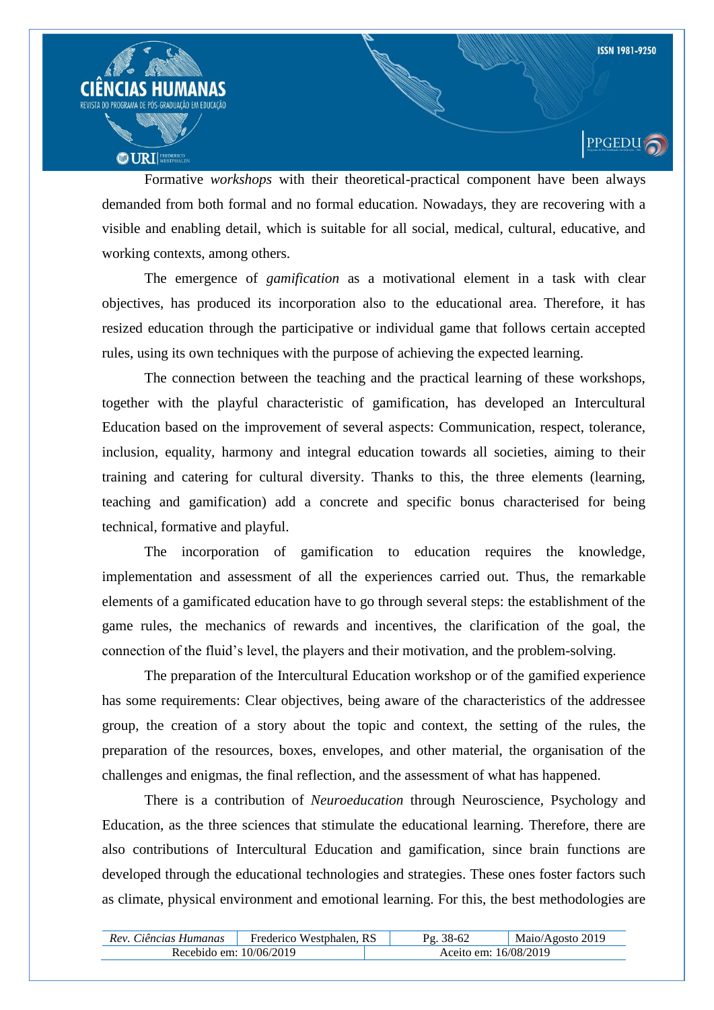

Formative *workshops* with their theoretical-practical component have been always demanded from both formal and no formal education. Nowadays, they are recovering with a visible and enabling detail, which is suitable for all social, medical, cultural, educative, and working contexts, among others.

The emergence of *gamification* as a motivational element in a task with clear objectives, has produced its incorporation also to the educational area. Therefore, it has resized education through the participative or individual game that follows certain accepted rules, using its own techniques with the purpose of achieving the expected learning.

The connection between the teaching and the practical learning of these workshops, together with the playful characteristic of gamification, has developed an Intercultural Education based on the improvement of several aspects: Communication, respect, tolerance, inclusion, equality, harmony and integral education towards all societies, aiming to their training and catering for cultural diversity. Thanks to this, the three elements (learning, teaching and gamification) add a concrete and specific bonus characterised for being technical, formative and playful.

The incorporation of gamification to education requires the knowledge, implementation and assessment of all the experiences carried out. Thus, the remarkable elements of a gamificated education have to go through several steps: the establishment of the game rules, the mechanics of rewards and incentives, the clarification of the goal, the connection of the fluid"s level, the players and their motivation, and the problem-solving.

The preparation of the Intercultural Education workshop or of the gamified experience has some requirements: Clear objectives, being aware of the characteristics of the addressee group, the creation of a story about the topic and context, the setting of the rules, the preparation of the resources, boxes, envelopes, and other material, the organisation of the challenges and enigmas, the final reflection, and the assessment of what has happened.

There is a contribution of *Neuroeducation* through Neuroscience, Psychology and Education, as the three sciences that stimulate the educational learning. Therefore, there are also contributions of Intercultural Education and gamification, since brain functions are developed through the educational technologies and strategies. These ones foster factors such as climate, physical environment and emotional learning. For this, the best methodologies are

| Rev. Ciências Humanas     | Frederico Westphalen, RS |                       | Maio/Agosto 2019 |
|---------------------------|--------------------------|-----------------------|------------------|
| Recebido em: $10/06/2019$ |                          | Aceito em: 16/08/2019 |                  |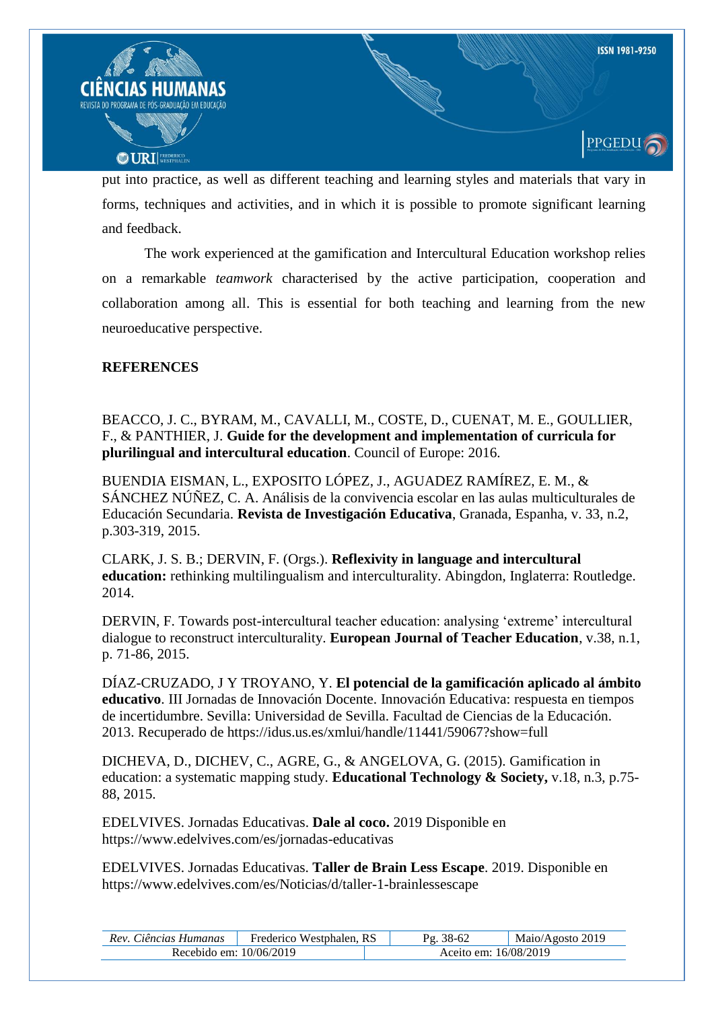

put into practice, as well as different teaching and learning styles and materials that vary in forms, techniques and activities, and in which it is possible to promote significant learning and feedback.

The work experienced at the gamification and Intercultural Education workshop relies on a remarkable *teamwork* characterised by the active participation, cooperation and collaboration among all. This is essential for both teaching and learning from the new neuroeducative perspective.

## **REFERENCES**

BEACCO, J. C., BYRAM, M., CAVALLI, M., COSTE, D., CUENAT, M. E., GOULLIER, F., & PANTHIER, J. **Guide for the development and implementation of curricula for plurilingual and intercultural education**. Council of Europe: 2016.

BUENDIA EISMAN, L., EXPOSITO LÓPEZ, J., AGUADEZ RAMÍREZ, E. M., & SÁNCHEZ NÚÑEZ, C. A. Análisis de la convivencia escolar en las aulas multiculturales de Educación Secundaria. **Revista de Investigación Educativa**, Granada, Espanha, v. 33, n.2, p.303-319, 2015.

CLARK, J. S. B.; DERVIN, F. (Orgs.). **Reflexivity in language and intercultural education:** rethinking multilingualism and interculturality. Abingdon, Inglaterra: Routledge. 2014.

DERVIN, F. Towards post-intercultural teacher education: analysing 'extreme' intercultural dialogue to reconstruct interculturality. **European Journal of Teacher Education**, v.38, n.1, p. 71-86, 2015.

DÍAZ-CRUZADO, J Y TROYANO, Y. **El potencial de la gamificación aplicado al ámbito educativo**. III Jornadas de Innovación Docente. Innovación Educativa: respuesta en tiempos de incertidumbre. Sevilla: Universidad de Sevilla. Facultad de Ciencias de la Educación. 2013. Recuperado de https://idus.us.es/xmlui/handle/11441/59067?show=full

DICHEVA, D., DICHEV, C., AGRE, G., & ANGELOVA, G. (2015). Gamification in education: a systematic mapping study. **Educational Technology & Society,** v.18, n.3, p.75- 88, 2015.

EDELVIVES. Jornadas Educativas. **Dale al coco.** 2019 Disponible en https://www.edelvives.com/es/jornadas-educativas

EDELVIVES. Jornadas Educativas. **Taller de Brain Less Escape**. 2019. Disponible en https://www.edelvives.com/es/Noticias/d/taller-1-brainlessescape

| Rev. Ciências Humanas   | Frederico Westphalen, RS | 38-62 | Maio/Agosto 2019      |
|-------------------------|--------------------------|-------|-----------------------|
| Recebido em: 10/06/2019 |                          |       | Aceito em: 16/08/2019 |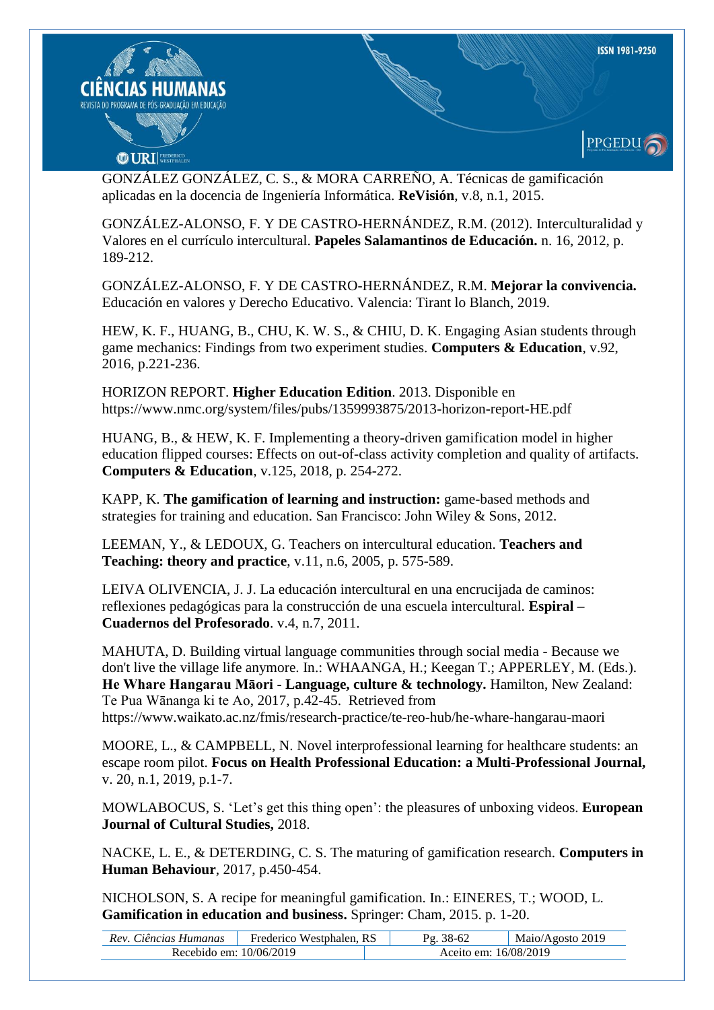

GONZÁLEZ GONZÁLEZ, C. S., & MORA CARREÑO, A. Técnicas de gamificación aplicadas en la docencia de Ingeniería Informática. **ReVisión**, v.8, n.1, 2015.

GONZÁLEZ-ALONSO, F. Y DE CASTRO-HERNÁNDEZ, R.M. (2012). Interculturalidad y Valores en el currículo intercultural. **Papeles Salamantinos de Educación.** n. 16, 2012, p. 189-212.

GONZÁLEZ-ALONSO, F. Y DE CASTRO-HERNÁNDEZ, R.M. **Mejorar la convivencia.** Educación en valores y Derecho Educativo. Valencia: Tirant lo Blanch, 2019.

HEW, K. F., HUANG, B., CHU, K. W. S., & CHIU, D. K. Engaging Asian students through game mechanics: Findings from two experiment studies. **Computers & Education**, v.92, 2016, p.221-236.

HORIZON REPORT. **Higher Education Edition**. 2013. Disponible en https://www.nmc.org/system/files/pubs/1359993875/2013-horizon-report-HE.pdf

HUANG, B., & HEW, K. F. Implementing a theory-driven gamification model in higher education flipped courses: Effects on out-of-class activity completion and quality of artifacts. **Computers & Education**, v.125, 2018, p. 254-272.

KAPP, K. **The gamification of learning and instruction:** game-based methods and strategies for training and education. San Francisco: John Wiley & Sons, 2012.

LEEMAN, Y., & LEDOUX, G. Teachers on intercultural education. **Teachers and Teaching: theory and practice**, v.11, n.6, 2005, p. 575-589.

LEIVA OLIVENCIA, J. J. La educación intercultural en una encrucijada de caminos: reflexiones pedagógicas para la construcción de una escuela intercultural. **Espiral – Cuadernos del Profesorado**. v.4, n.7, 2011.

MAHUTA, D. Building virtual language communities through social media - Because we don't live the village life anymore. In.: WHAANGA, H.; Keegan T.; APPERLEY, M. (Eds.). **He Whare Hangarau Māori - Language, culture & technology.** Hamilton, New Zealand: Te Pua Wānanga ki te Ao, 2017, p.42-45. Retrieved from https://www.waikato.ac.nz/fmis/research-practice/te-reo-hub/he-whare-hangarau-maori

MOORE, L., & CAMPBELL, N. Novel interprofessional learning for healthcare students: an escape room pilot. **Focus on Health Professional Education: a Multi-Professional Journal,** v. 20, n.1, 2019, p.1-7.

MOWLABOCUS, S. "Let"s get this thing open": the pleasures of unboxing videos. **European Journal of Cultural Studies,** 2018.

NACKE, L. E., & DETERDING, C. S. The maturing of gamification research. **Computers in Human Behaviour**, 2017, p.450-454.

NICHOLSON, S. A recipe for meaningful gamification. In.: EINERES, T.; WOOD, L. **Gamification in education and business.** Springer: Cham, 2015. p. 1-20.

| Rev. Ciências Humanas   | Frederico Westphalen, RS | 38-62                 | Maio/Agosto 2019 |
|-------------------------|--------------------------|-----------------------|------------------|
| Recebido em: 10/06/2019 |                          | Aceito em: 16/08/2019 |                  |